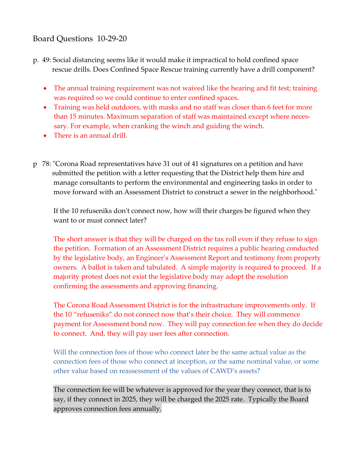# Board Questions 10-29-20

- p. 49: Social distancing seems like it would make it impractical to hold confined space rescue drills. Does Confined Space Rescue training currently have a drill component?
	- The annual training requirement was not waived like the hearing and fit test; training was required so we could continue to enter confined spaces.
	- Training was held outdoors, with masks and no staff was closer than 6 feet for more than 15 minutes. Maximum separation of staff was maintained except where necessary. For example, when cranking the winch and guiding the winch.
	- There is an annual drill.
- p 78: "Corona Road representatives have 31 out of 41 signatures on a petition and have submitted the petition with a letter requesting that the District help them hire and manage consultants to perform the environmental and engineering tasks in order to move forward with an Assessment District to construct a sewer in the neighborhood."

If the 10 refuseniks don't connect now, how will their charges be figured when they want to or must connect later?

The short answer is that they will be charged on the tax roll even if they refuse to sign the petition. Formation of an Assessment District requires a public hearing conducted by the legislative body, an Engineer's Assessment Report and testimony from property owners. A ballot is taken and tabulated. A simple majority is required to proceed. If a majority protest does not exist the legislative body may adopt the resolution confirming the assessments and approving financing.

The Corona Road Assessment District is for the infrastructure improvements only. If the 10 "refuseniks" do not connect now that's their choice. They will commence payment for Assessment bond now. They will pay connection fee when they do decide to connect. And, they will pay user fees after connection.

Will the connection fees of those who connect later be the same actual value as the connection fees of those who connect at inception, or the same nominal value, or some other value based on reassessment of the values of CAWD's assets?

The connection fee will be whatever is approved for the year they connect, that is to say, if they connect in 2025, they will be charged the 2025 rate. Typically the Board approves connection fees annually.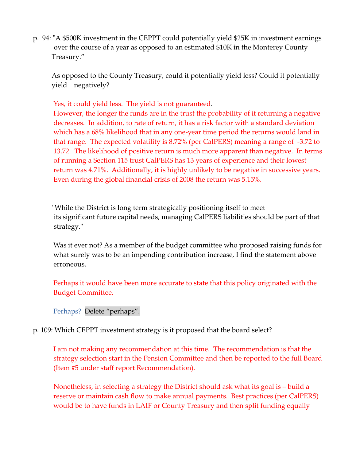p. 94: "A \$500K investment in the CEPPT could potentially yield \$25K in investment earnings over the course of a year as opposed to an estimated \$10K in the Monterey County Treasury."

As opposed to the County Treasury, could it potentially yield less? Could it potentially yield negatively?

Yes, it could yield less. The yield is not guaranteed.

However, the longer the funds are in the trust the probability of it returning a negative decreases. In addition, to rate of return, it has a risk factor with a standard deviation which has a 68% likelihood that in any one-year time period the returns would land in that range. The expected volatility is 8.72% (per CalPERS) meaning a range of -3.72 to 13.72. The likelihood of positive return is much more apparent than negative. In terms of running a Section 115 trust CalPERS has 13 years of experience and their lowest return was 4.71%. Additionally, it is highly unlikely to be negative in successive years. Even during the global financial crisis of 2008 the return was 5.15%.

 "While the District is long term strategically positioning itself to meet its significant future capital needs, managing CalPERS liabilities should be part of that strategy."

Was it ever not? As a member of the budget committee who proposed raising funds for what surely was to be an impending contribution increase, I find the statement above erroneous.

Perhaps it would have been more accurate to state that this policy originated with the Budget Committee.

Perhaps? Delete "perhaps".

p. 109: Which CEPPT investment strategy is it proposed that the board select?

I am not making any recommendation at this time. The recommendation is that the strategy selection start in the Pension Committee and then be reported to the full Board (Item #5 under staff report Recommendation).

Nonetheless, in selecting a strategy the District should ask what its goal is – build a reserve or maintain cash flow to make annual payments. Best practices (per CalPERS) would be to have funds in LAIF or County Treasury and then split funding equally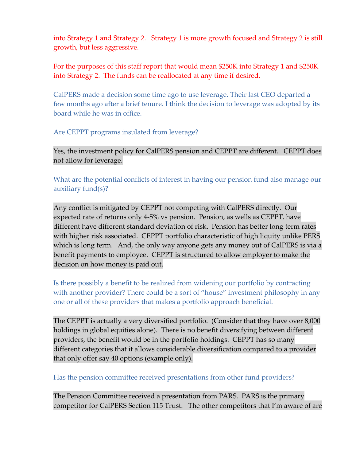into Strategy 1 and Strategy 2. Strategy 1 is more growth focused and Strategy 2 is still growth, but less aggressive.

### For the purposes of this staff report that would mean \$250K into Strategy 1 and \$250K into Strategy 2. The funds can be reallocated at any time if desired.

CalPERS made a decision some time ago to use leverage. Their last CEO departed a few months ago after a brief tenure. I think the decision to leverage was adopted by its board while he was in office.

Are CEPPT programs insulated from leverage?

Yes, the investment policy for CalPERS pension and CEPPT are different. CEPPT does not allow for leverage.

What are the potential conflicts of interest in having our pension fund also manage our auxiliary fund(s)?

Any conflict is mitigated by CEPPT not competing with CalPERS directly. Our expected rate of returns only 4-5% vs pension. Pension, as wells as CEPPT, have different have different standard deviation of risk. Pension has better long term rates with higher risk associated. CEPPT portfolio characteristic of high liquity unlike PERS which is long term. And, the only way anyone gets any money out of CalPERS is via a benefit payments to employee. CEPPT is structured to allow employer to make the decision on how money is paid out.

Is there possibly a benefit to be realized from widening our portfolio by contracting with another provider? There could be a sort of "house" investment philosophy in any one or all of these providers that makes a portfolio approach beneficial.

The CEPPT is actually a very diversified portfolio. (Consider that they have over 8,000 holdings in global equities alone). There is no benefit diversifying between different providers, the benefit would be in the portfolio holdings. CEPPT has so many different categories that it allows considerable diversification compared to a provider that only offer say 40 options (example only).

Has the pension committee received presentations from other fund providers?

The Pension Committee received a presentation from PARS. PARS is the primary competitor for CalPERS Section 115 Trust. The other competitors that I'm aware of are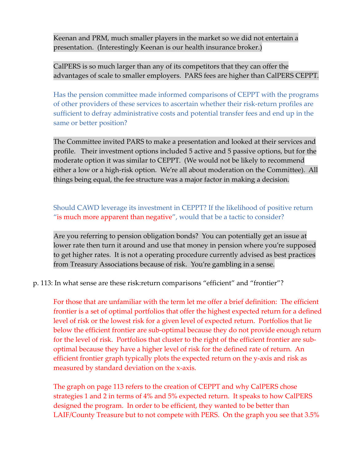Keenan and PRM, much smaller players in the market so we did not entertain a presentation. (Interestingly Keenan is our health insurance broker.)

CalPERS is so much larger than any of its competitors that they can offer the advantages of scale to smaller employers. PARS fees are higher than CalPERS CEPPT.

Has the pension committee made informed comparisons of CEPPT with the programs of other providers of these services to ascertain whether their risk-return profiles are sufficient to defray administrative costs and potential transfer fees and end up in the same or better position?

The Committee invited PARS to make a presentation and looked at their services and profile. Their investment options included 5 active and 5 passive options, but for the moderate option it was similar to CEPPT. (We would not be likely to recommend either a low or a high-risk option. We're all about moderation on the Committee). All things being equal, the fee structure was a major factor in making a decision.

Should CAWD leverage its investment in CEPPT? If the likelihood of positive return "is much more apparent than negative", would that be a tactic to consider?

Are you referring to pension obligation bonds? You can potentially get an issue at lower rate then turn it around and use that money in pension where you're supposed to get higher rates. It is not a operating procedure currently advised as best practices from Treasury Associations because of risk. You're gambling in a sense.

p. 113: In what sense are these risk:return comparisons "efficient" and "frontier"?

For those that are unfamiliar with the term let me offer a brief definition: The efficient frontier is a set of optimal portfolios that offer the highest expected return for a defined level of risk or the lowest risk for a given level of expected return. Portfolios that lie below the efficient frontier are sub-optimal because they do not provide enough return for the level of risk. Portfolios that cluster to the right of the efficient frontier are suboptimal because they have a higher level of risk for the defined rate of return. An efficient frontier graph typically plots the expected return on the y-axis and risk as measured by standard deviation on the x-axis.

The graph on page 113 refers to the creation of CEPPT and why CalPERS chose strategies 1 and 2 in terms of 4% and 5% expected return. It speaks to how CalPERS designed the program. In order to be efficient, they wanted to be better than LAIF/County Treasure but to not compete with PERS. On the graph you see that 3.5%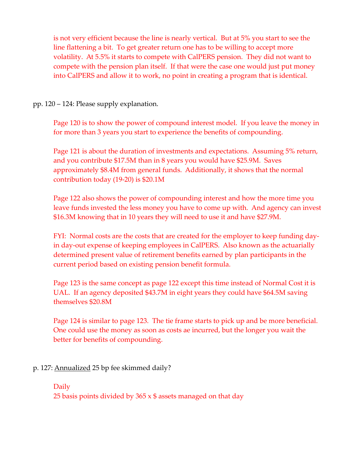is not very efficient because the line is nearly vertical. But at 5% you start to see the line flattening a bit. To get greater return one has to be willing to accept more volatility. At 5.5% it starts to compete with CalPERS pension. They did not want to compete with the pension plan itself. If that were the case one would just put money into CalPERS and allow it to work, no point in creating a program that is identical.

pp. 120 – 124: Please supply explanation.

Page 120 is to show the power of compound interest model. If you leave the money in for more than 3 years you start to experience the benefits of compounding.

Page 121 is about the duration of investments and expectations. Assuming 5% return, and you contribute \$17.5M than in 8 years you would have \$25.9M. Saves approximately \$8.4M from general funds. Additionally, it shows that the normal contribution today (19-20) is \$20.1M

Page 122 also shows the power of compounding interest and how the more time you leave funds invested the less money you have to come up with. And agency can invest \$16.3M knowing that in 10 years they will need to use it and have \$27.9M.

FYI: Normal costs are the costs that are created for the employer to keep funding dayin day-out expense of keeping employees in CalPERS. Also known as the actuarially determined present value of retirement benefits earned by plan participants in the current period based on existing pension benefit formula.

Page 123 is the same concept as page 122 except this time instead of Normal Cost it is UAL. If an agency deposited \$43.7M in eight years they could have \$64.5M saving themselves \$20.8M

Page 124 is similar to page 123. The tie frame starts to pick up and be more beneficial. One could use the money as soon as costs ae incurred, but the longer you wait the better for benefits of compounding.

### p. 127: Annualized 25 bp fee skimmed daily?

## Daily 25 basis points divided by  $365 \times $$  assets managed on that day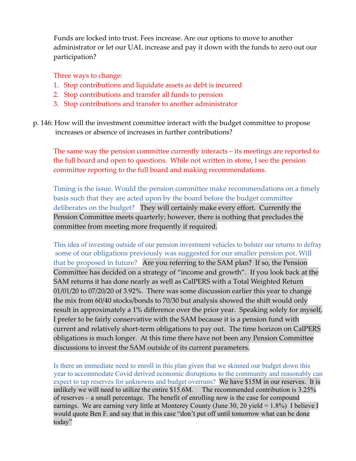Funds are locked into trust. Fees increase. Are our options to move to another administrator or let our UAL increase and pay it down with the funds to zero out our participation?

Three ways to change:

- 1. Stop contributions and liquidate assets as debt is incurred
- 2. Stop contributions and transfer all funds to pension
- 3. Stop contributions and transfer to another administrator
- p. 146: How will the investment committee interact with the budget committee to propose increases or absence of increases in further contributions?

The same way the pension committee currently interacts – its meetings are reported to the full board and open to questions. While not written in stone, I see the pension committee reporting to the full board and making recommendations.

Timing is the issue. Would the pension committee make recommendations on a timely basis such that they are acted upon by the board before the budget committee deliberates on the budget? They will certainly make every effort. Currently the Pension Committee meets quarterly; however, there is nothing that precludes the committee from meeting more frequently if required.

This idea of investing outside of our pension investment vehicles to bolster our returns to defray some of our obligations previously was suggested for our smaller pension pot. Will that be proposed in future? Are you referring to the SAM plan? If so, the Pension Committee has decided on a strategy of "income and growth". If you look back at the SAM returns it has done nearly as well as CalPERS with a Total Weighted Return 01/01/20 to 07/20/20 of 3.92%. There was some discussion earlier this year to change the mix from 60/40 stocks/bonds to 70/30 but analysis showed the shift would only result in approximately a 1% difference over the prior year. Speaking solely for myself, I prefer to be fairly conservative with the SAM because it is a pension fund with current and relatively short-term obligations to pay out. The time horizon on CalPERS obligations is much longer. At this time there have not been any Pension Committee discussions to invest the SAM outside of its current parameters.

Is there an immediate need to enroll in this plan given that we skinned our budget down this year to accommodate Covid derived economic disruptions to the community and reasonably can expect to tap reserves for unknowns and budget overruns? We have \$15M in our reserves. It is unlikely we will need to utilize the entire \$15.6M. The recommended contribution is 3.25% of reserves – a small percentage. The benefit of enrolling now is the case for compound earnings. We are earning very little at Monterey County (June 30, 20 yield = 1.8%) I believe I would quote Ben F. and say that in this case "don't put off until tomorrow what can be done today"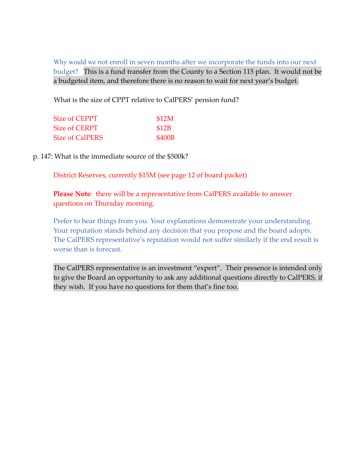Why would we not enroll in seven months after we incorporate the funds into our next budget? This is a fund transfer from the County to a Section 115 plan. It would not be a budgeted item, and therefore there is no reason to wait for next year's budget.

What is the size of CPPT relative to CalPERS' pension fund?

| Size of CEPPT          | \$12M  |
|------------------------|--------|
| <b>Size of CERPT</b>   | \$12B  |
| <b>Size of CalPERS</b> | \$400B |

p. 147: What is the immediate source of the \$500k?

District Reserves, currently \$15M (see page 12 of board packet)

**Please Note**: there will be a representative from CalPERS available to answer questions on Thursday morning.

Prefer to hear things from you. Your explanations demonstrate your understanding. Your reputation stands behind any decision that you propose and the board adopts. The CalPERS representative's reputation would not suffer similarly if the end result is worse than is forecast.

The CalPERS representative is an investment "expert". Their presence is intended only to give the Board an opportunity to ask any additional questions directly to CalPERS, if they wish. If you have no questions for them that's fine too.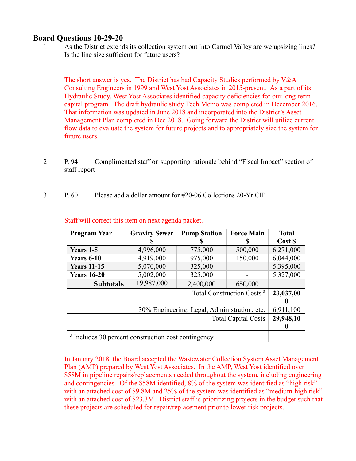#### **Board Questions 10-29-20**

1 As the District extends its collection system out into Carmel Valley are we upsizing lines? Is the line size sufficient for future users?

The short answer is yes. The District has had Capacity Studies performed by V&A Consulting Engineers in 1999 and West Yost Associates in 2015-present. As a part of its Hydraulic Study, West Yost Associates identified capacity deficiencies for our long-term capital program. The draft hydraulic study Tech Memo was completed in December 2016. That information was updated in June 2018 and incorporated into the District's Asset Management Plan completed in Dec 2018. Going forward the District will utilize current flow data to evaluate the system for future projects and to appropriately size the system for future users.

- 2 P. 94 Complimented staff on supporting rationale behind "Fiscal Impact" section of staff report
- 3 P. 60 Please add a dollar amount for #20-06 Collections 20-Yr CIP

| <b>Program Year</b>                                            | <b>Gravity Sewer</b> | <b>Pump Station</b> | <b>Force Main</b> | <b>Total</b> |
|----------------------------------------------------------------|----------------------|---------------------|-------------------|--------------|
|                                                                |                      | S                   | S                 | Cost \$      |
| Years 1-5                                                      | 4,996,000            | 775,000             | 500,000           | 6,271,000    |
| <b>Years 6-10</b>                                              | 4,919,000            | 975,000             | 150,000           | 6,044,000    |
| <b>Years 11-15</b>                                             | 5,070,000            | 325,000             |                   | 5,395,000    |
| <b>Years 16-20</b>                                             | 5,002,000            | 325,000             |                   | 5,327,000    |
| Subtotals                                                      | 19,987,000           | 2,400,000           | 650,000           |              |
| Total Construction Costs <sup>a</sup>                          |                      |                     |                   | 23,037,00    |
|                                                                |                      |                     |                   |              |
| 30% Engineering, Legal, Administration, etc.                   |                      |                     |                   | 6,911,100    |
| <b>Total Capital Costs</b>                                     |                      |                     |                   |              |
|                                                                |                      |                     |                   |              |
| <sup>a</sup> Includes 30 percent construction cost contingency |                      |                     |                   |              |

Staff will correct this item on next agenda packet.

In January 2018, the Board accepted the Wastewater Collection System Asset Management Plan (AMP) prepared by West Yost Associates. In the AMP, West Yost identified over \$58M in pipeline repairs/replacements needed throughout the system, including engineering and contingencies. Of the \$58M identified, 8% of the system was identified as "high risk" with an attached cost of \$9.8M and 25% of the system was identified as "medium-high risk" with an attached cost of \$23.3M. District staff is prioritizing projects in the budget such that these projects are scheduled for repair/replacement prior to lower risk projects.